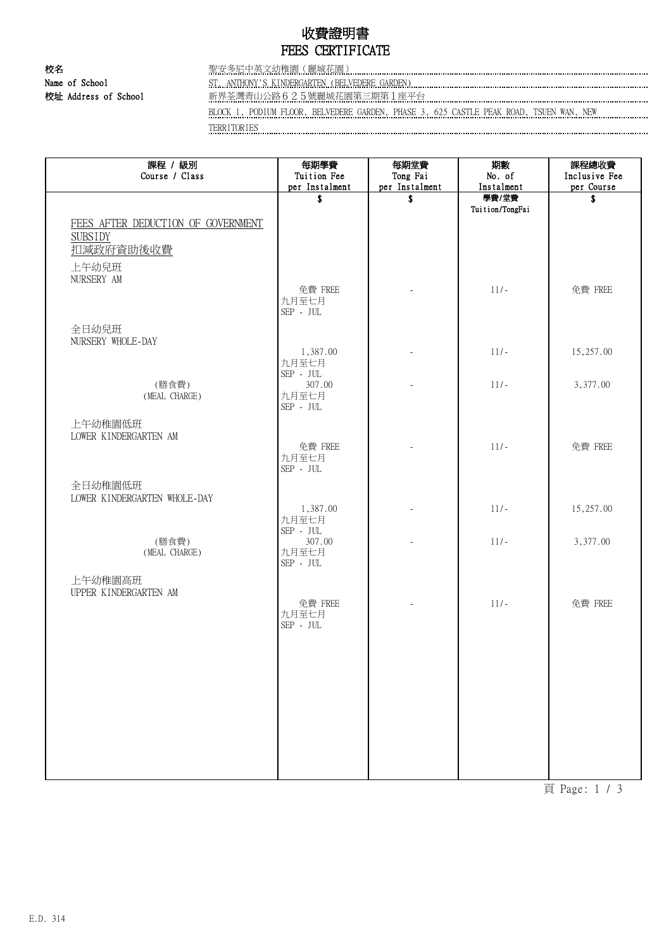# 收費證明書 FEES CERTIFICATE

校名 聖安多尼中英文幼稚園(麗城花園) Name of School ST. ANTHONY'S KINDERGARTEN (BELVEDERE GARDEN)

校址 Address of School 新界荃灣青山公路625號麗城花園第三期第1座平台

BLOCK 1, PODIUM FLOOR, BELVEDERE GARDEN, PHASE 3, 625 CASTLE PEAK ROAD, TSUEN WAN, NEW TERRITORIES

| 課程 / 級別<br>Course / Class                                         | 每期學費<br>Tuition Fee<br>per Instalment                       | 每期堂費<br>Tong Fai<br>per Instalment | 期數<br>No. of<br>Instalment | 課程總收費<br>Inclusive Fee<br>per Course |
|-------------------------------------------------------------------|-------------------------------------------------------------|------------------------------------|----------------------------|--------------------------------------|
|                                                                   | \$                                                          | \$                                 | 學費/堂費                      | \$                                   |
| FEES AFTER DEDUCTION OF GOVERNMENT<br><b>SUBSIDY</b><br>扣減政府資助後收費 |                                                             |                                    | Tuition/TongFai            |                                      |
| 上午幼兒班                                                             |                                                             |                                    |                            |                                      |
| NURSERY AM                                                        | 免費 FREE<br>九月至七月<br>$\mbox{SEP}$ - $\mbox{JUL}$             |                                    | $11/-$                     | 免費 FREE                              |
| 全日幼兒班<br>NURSERY WHOLE-DAY                                        |                                                             |                                    |                            |                                      |
|                                                                   | 1,387.00<br>九月至七月                                           |                                    | $11/-$                     | 15,257.00                            |
| (膳食費)<br>(MEAL CHARGE)                                            | $\mbox{SEP}$ - $\mbox{JUL}$<br>307.00<br>九月至七月<br>SEP - JUL |                                    | $11/-$                     | 3,377.00                             |
| 上午幼稚園低班<br>LOWER KINDERGARTEN AM                                  | 免費 FREE<br>九月至七月<br>$\mbox{SEP}$ - $\mbox{JUL}$             |                                    | $11/-$                     | 免費 FREE                              |
| 全日幼稚園低班<br>LOWER KINDERGARTEN WHOLE-DAY                           |                                                             |                                    |                            |                                      |
|                                                                   | 1,387.00<br>九月至七月<br>SEP - JUL                              |                                    | $11/-$                     | 15,257.00                            |
| (膳食費)<br>(MEAL CHARGE)                                            | 307.00<br>九月至七月<br>$\mbox{SEP}$ - $\mbox{JUL}$              |                                    | $11/-$                     | 3,377.00                             |
| 上午幼稚園高班<br>UPPER KINDERGARTEN AM                                  | 免費 FREE                                                     |                                    | $11/-$                     | 免費 FREE                              |
|                                                                   | 九月至七月<br>$\mbox{SEP}$ - $\mbox{JUL}$                        |                                    |                            |                                      |
|                                                                   |                                                             |                                    |                            |                                      |
|                                                                   |                                                             |                                    |                            |                                      |
|                                                                   |                                                             |                                    |                            |                                      |
|                                                                   |                                                             |                                    |                            |                                      |
|                                                                   |                                                             |                                    |                            |                                      |

頁 Page: 1 / 3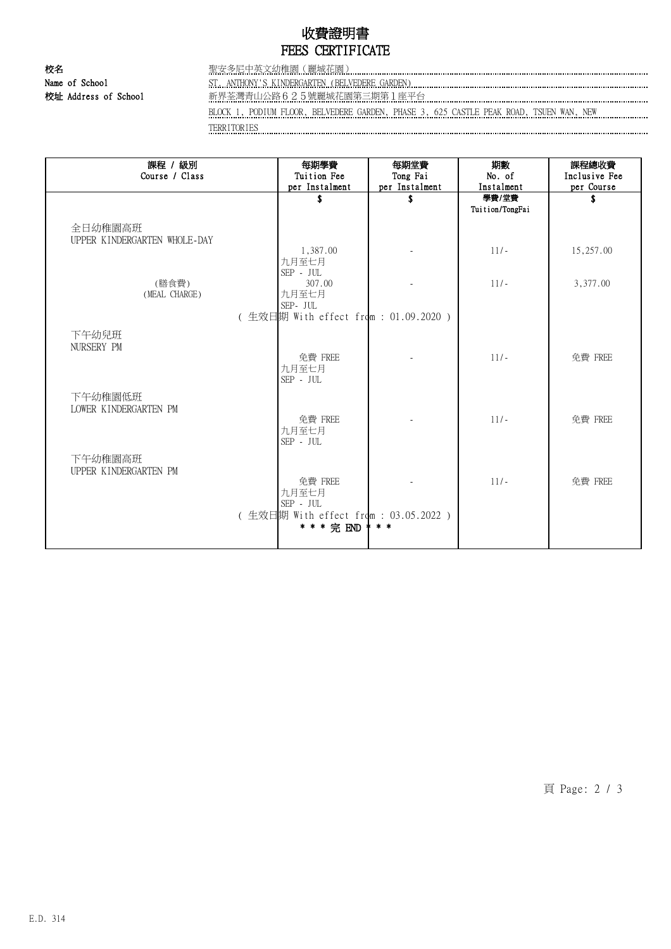# 收費證明書 FEES CERTIFICATE

校名 聖安多尼中英文幼稚園(麗城花園) Name of School ST. ANTHONY'S KINDERGARTEN (BELVEDERE GARDEN)

校址 Address of School 新界荃灣青山公路625號麗城花園第三期第1座平台

BLOCK 1, PODIUM FLOOR, BELVEDERE GARDEN, PHASE 3, 625 CASTLE PEAK ROAD, TSUEN WAN, NEW TERRITORIES

| 課程 / 級別<br>Course / Class               | 每期學費<br>Tuition Fee<br>per Instalment | 每期堂費<br>Tong Fai<br>per Instalment | 期數<br>No. of<br>Instalment | 課程總收費<br>Inclusive Fee<br>per Course |  |  |  |
|-----------------------------------------|---------------------------------------|------------------------------------|----------------------------|--------------------------------------|--|--|--|
|                                         | S                                     | \$                                 | 學費/堂費                      | S                                    |  |  |  |
|                                         |                                       |                                    | Tuition/TongFai            |                                      |  |  |  |
| 全日幼稚園高班<br>UPPER KINDERGARTEN WHOLE-DAY |                                       |                                    |                            |                                      |  |  |  |
|                                         | 1,387.00                              |                                    | $11/-$                     | 15,257.00                            |  |  |  |
|                                         | 九月至七月                                 |                                    |                            |                                      |  |  |  |
|                                         | $\mbox{SEP}$ - $\mbox{JUL}$           |                                    |                            |                                      |  |  |  |
| (膳食費)                                   | 307.00                                |                                    | $11/-$                     | 3,377.00                             |  |  |  |
| (MEAL CHARGE)                           | 九月至七月                                 |                                    |                            |                                      |  |  |  |
|                                         | SEP- JUL                              |                                    |                            |                                      |  |  |  |
| (生效日期 With effect from : 01.09.2020 )   |                                       |                                    |                            |                                      |  |  |  |
| 下午幼兒班                                   |                                       |                                    |                            |                                      |  |  |  |
| NURSERY PM                              |                                       |                                    |                            |                                      |  |  |  |
|                                         | 免費 FREE                               |                                    | $11/-$                     | 免費 FREE                              |  |  |  |
|                                         | 九月至七月<br>SEP - JUL                    |                                    |                            |                                      |  |  |  |
| 下午幼稚園低班                                 |                                       |                                    |                            |                                      |  |  |  |
| LOWER KINDERGARTEN PM                   |                                       |                                    |                            |                                      |  |  |  |
|                                         | 免費 FREE                               |                                    | $11/-$                     | 免費 FREE                              |  |  |  |
|                                         | 九月至七月                                 |                                    |                            |                                      |  |  |  |
|                                         | SEP - JUL                             |                                    |                            |                                      |  |  |  |
| 下午幼稚園高班                                 |                                       |                                    |                            |                                      |  |  |  |
| UPPER KINDERGARTEN PM                   |                                       |                                    |                            |                                      |  |  |  |
|                                         | 免費 FREE                               |                                    | $11/-$                     | 免費 FREE                              |  |  |  |
|                                         | 九月至七月                                 |                                    |                            |                                      |  |  |  |
|                                         | $\mbox{SEP}$ - $\mbox{JUL}$           |                                    |                            |                                      |  |  |  |
|                                         | (生效日期 With effect from : 03.05.2022 ) |                                    |                            |                                      |  |  |  |
|                                         | * * * 完 END                           | $*$ *                              |                            |                                      |  |  |  |
|                                         |                                       |                                    |                            |                                      |  |  |  |

頁 Page: 2 / 3